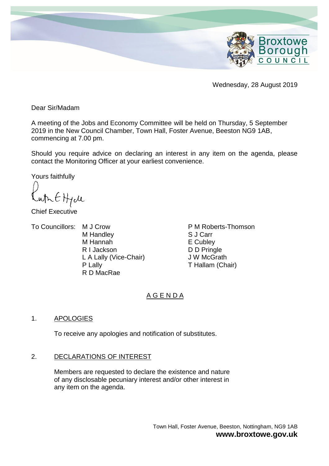

Wednesday, 28 August 2019

Dear Sir/Madam

A meeting of the Jobs and Economy Committee will be held on Thursday, 5 September 2019 in the New Council Chamber, Town Hall, Foster Avenue, Beeston NG9 1AB, commencing at 7.00 pm.

Should you require advice on declaring an interest in any item on the agenda, please contact the Monitoring Officer at your earliest convenience.

Yours faithfully

which  $H_1$ cle

Chief Executive

To Councillors: M J Crow

M Handley M Hannah R I Jackson L A Lally (Vice-Chair) P Lally R D MacRae

P M Roberts-Thomson S J Carr E Cubley D D Pringle J W McGrath T Hallam (Chair)

# A G E N D A

## 1. APOLOGIES

To receive any apologies and notification of substitutes.

## 2. DECLARATIONS OF INTEREST

Members are requested to declare the existence and nature of any disclosable pecuniary interest and/or other interest in any item on the agenda.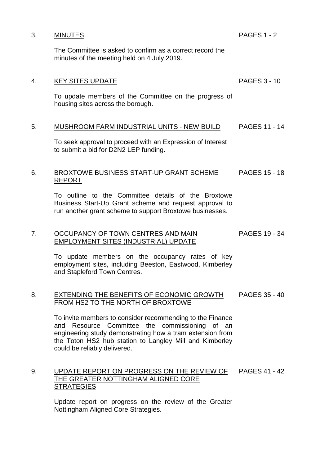| 3. | <b>MINUTES</b>                                                                                                                                                                                                                                                            | <b>PAGES 1 - 2</b>   |
|----|---------------------------------------------------------------------------------------------------------------------------------------------------------------------------------------------------------------------------------------------------------------------------|----------------------|
|    | The Committee is asked to confirm as a correct record the<br>minutes of the meeting held on 4 July 2019.                                                                                                                                                                  |                      |
| 4. | <b>KEY SITES UPDATE</b>                                                                                                                                                                                                                                                   | <b>PAGES 3 - 10</b>  |
|    | To update members of the Committee on the progress of<br>housing sites across the borough.                                                                                                                                                                                |                      |
| 5. | MUSHROOM FARM INDUSTRIAL UNITS - NEW BUILD                                                                                                                                                                                                                                | <b>PAGES 11 - 14</b> |
|    | To seek approval to proceed with an Expression of Interest<br>to submit a bid for D2N2 LEP funding.                                                                                                                                                                       |                      |
| 6. | BROXTOWE BUSINESS START-UP GRANT SCHEME<br><b>REPORT</b>                                                                                                                                                                                                                  | PAGES 15 - 18        |
|    | To outline to the Committee details of the Broxtowe<br>Business Start-Up Grant scheme and request approval to<br>run another grant scheme to support Broxtowe businesses.                                                                                                 |                      |
| 7. | OCCUPANCY OF TOWN CENTRES AND MAIN<br><b>EMPLOYMENT SITES (INDUSTRIAL) UPDATE</b>                                                                                                                                                                                         | PAGES 19 - 34        |
|    | To update members on the occupancy rates of key<br>employment sites, including Beeston, Eastwood, Kimberley<br>and Stapleford Town Centres.                                                                                                                               |                      |
| 8. | EXTENDING THE BENEFITS OF ECONOMIC GROWTH<br>FROM HS2 TO THE NORTH OF BROXTOWE                                                                                                                                                                                            | PAGES 35 - 40        |
|    | To invite members to consider recommending to the Finance<br>Resource Committee the<br>commissioning of an<br>and<br>engineering study demonstrating how a tram extension from<br>the Toton HS2 hub station to Langley Mill and Kimberley<br>could be reliably delivered. |                      |
| 9. | UPDATE REPORT ON PROGRESS ON THE REVIEW OF<br>THE GREATER NOTTINGHAM ALIGNED CORE<br><b>STRATEGIES</b>                                                                                                                                                                    | <b>PAGES 41 - 42</b> |
|    | Update report on progress on the review of the Greater                                                                                                                                                                                                                    |                      |

Nottingham Aligned Core Strategies.